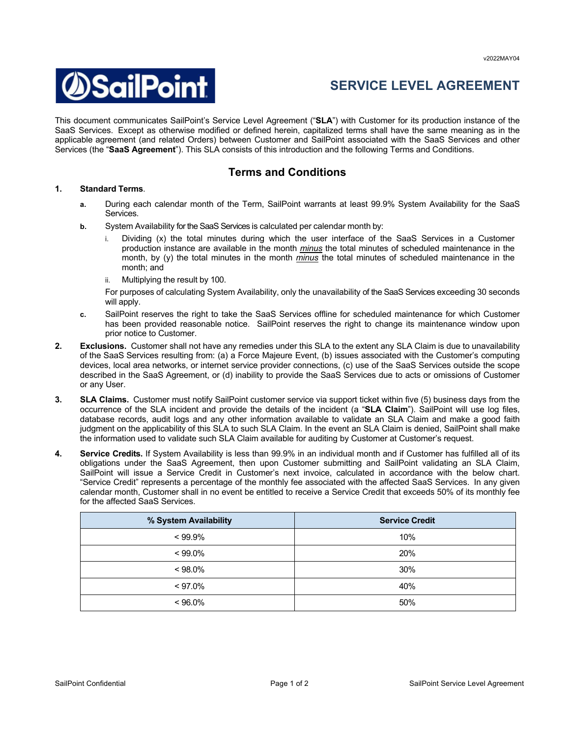

## **SERVICE LEVEL AGREEMENT**

This document communicates SailPoint's Service Level Agreement ("**SLA**") with Customer for its production instance of the SaaS Services. Except as otherwise modified or defined herein, capitalized terms shall have the same meaning as in the applicable agreement (and related Orders) between Customer and SailPoint associated with the SaaS Services and other Services (the "**SaaS Agreement**"). This SLA consists of this introduction and the following Terms and Conditions.

## **Terms and Conditions**

## **1. Standard Terms**.

- **a.** During each calendar month of the Term, SailPoint warrants at least 99.9% System Availability for the SaaS Services.
- **b.** System Availability for the SaaS Services is calculated per calendar month by:
	- Dividing (x) the total minutes during which the user interface of the SaaS Services in a Customer production instance are available in the month *minus* the total minutes of scheduled maintenance in the month, by (y) the total minutes in the month *minus* the total minutes of scheduled maintenance in the month; and
	- Multiplying the result by 100.

For purposes of calculating System Availability, only the unavailability of the SaaS Services exceeding 30 seconds will apply.

- **c.** SailPoint reserves the right to take the SaaS Services offline for scheduled maintenance for which Customer has been provided reasonable notice. SailPoint reserves the right to change its maintenance window upon prior notice to Customer.
- **2. Exclusions.** Customer shall not have any remedies under this SLA to the extent any SLA Claim is due to unavailability of the SaaS Services resulting from: (a) a Force Majeure Event, (b) issues associated with the Customer's computing devices, local area networks, or internet service provider connections, (c) use of the SaaS Services outside the scope described in the SaaS Agreement, or (d) inability to provide the SaaS Services due to acts or omissions of Customer or any User.
- **3. SLA Claims.** Customer must notify SailPoint customer service via support ticket within five (5) business days from the occurrence of the SLA incident and provide the details of the incident (a "**SLA Claim**"). SailPoint will use log files, database records, audit logs and any other information available to validate an SLA Claim and make a good faith judgment on the applicability of this SLA to such SLA Claim. In the event an SLA Claim is denied, SailPoint shall make the information used to validate such SLA Claim available for auditing by Customer at Customer's request.
- **4. Service Credits.** If System Availability is less than 99.9% in an individual month and if Customer has fulfilled all of its obligations under the SaaS Agreement, then upon Customer submitting and SailPoint validating an SLA Claim, SailPoint will issue a Service Credit in Customer's next invoice, calculated in accordance with the below chart. "Service Credit" represents a percentage of the monthly fee associated with the affected SaaS Services. In any given calendar month, Customer shall in no event be entitled to receive a Service Credit that exceeds 50% of its monthly fee for the affected SaaS Services.

| % System Availability | <b>Service Credit</b> |
|-----------------------|-----------------------|
| $< 99.9\%$            | 10%                   |
| $< 99.0\%$            | 20%                   |
| $< 98.0\%$            | 30%                   |
| $< 97.0\%$            | 40%                   |
| $< 96.0\%$            | 50%                   |